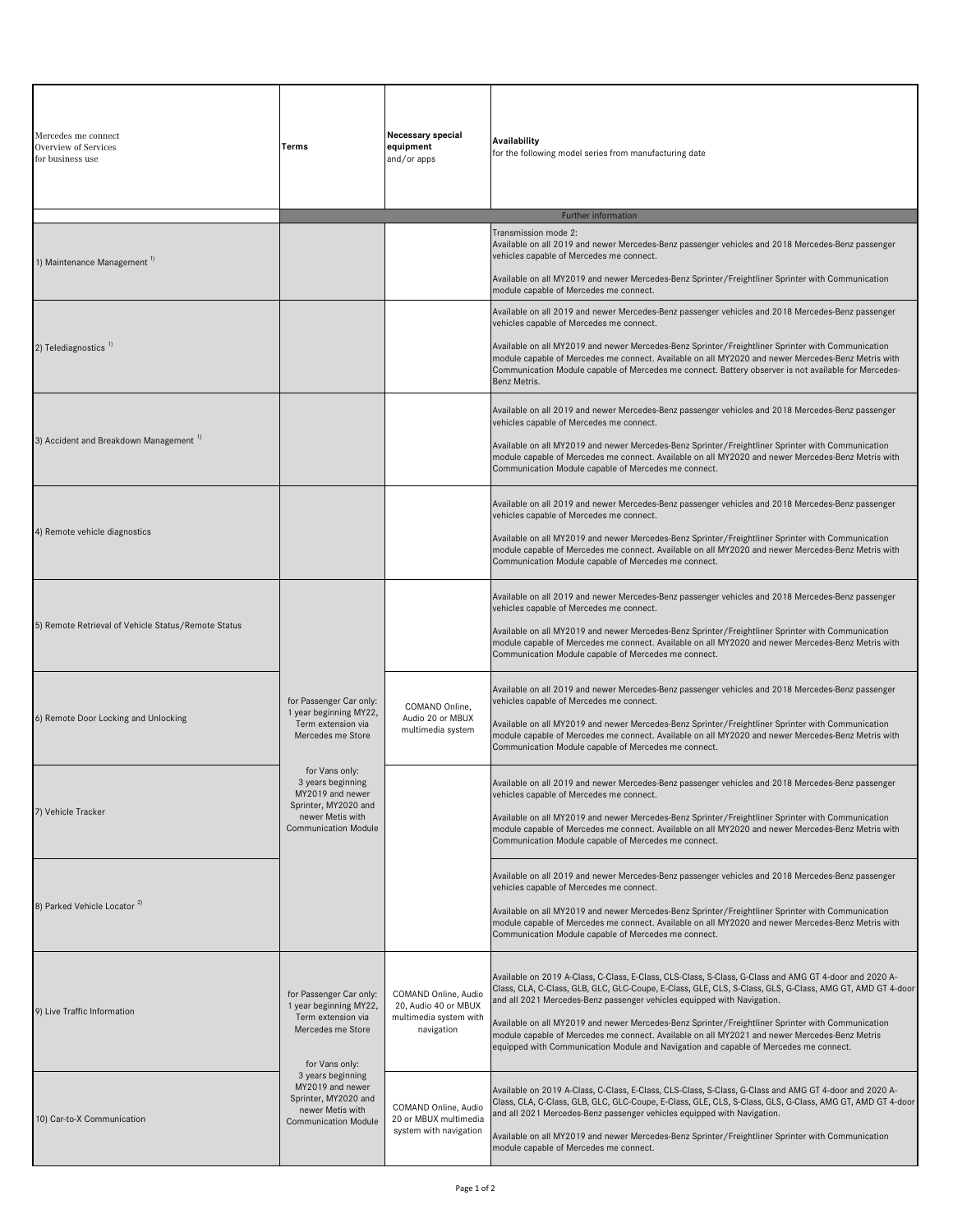| Mercedes me connect<br><b>Overview of Services</b><br>for business use                                                                        | Terms                                                                                                            | Necessary special<br>equipment<br>and/or apps                                                                                                                                                                                                                                                                                                                          | Availability<br>for the following model series from manufacturing date                                                                                                                                                                                                                         |
|-----------------------------------------------------------------------------------------------------------------------------------------------|------------------------------------------------------------------------------------------------------------------|------------------------------------------------------------------------------------------------------------------------------------------------------------------------------------------------------------------------------------------------------------------------------------------------------------------------------------------------------------------------|------------------------------------------------------------------------------------------------------------------------------------------------------------------------------------------------------------------------------------------------------------------------------------------------|
|                                                                                                                                               |                                                                                                                  |                                                                                                                                                                                                                                                                                                                                                                        | Further information                                                                                                                                                                                                                                                                            |
| 1) Maintenance Management 1)                                                                                                                  |                                                                                                                  |                                                                                                                                                                                                                                                                                                                                                                        | Transmission mode 2:<br>Available on all 2019 and newer Mercedes-Benz passenger vehicles and 2018 Mercedes-Benz passenger<br>vehicles capable of Mercedes me connect.<br>Available on all MY2019 and newer Mercedes-Benz Sprinter/Freightliner Sprinter with Communication                     |
|                                                                                                                                               |                                                                                                                  |                                                                                                                                                                                                                                                                                                                                                                        | module capable of Mercedes me connect.                                                                                                                                                                                                                                                         |
| 2) Telediagnostics <sup>1)</sup>                                                                                                              |                                                                                                                  |                                                                                                                                                                                                                                                                                                                                                                        | Available on all 2019 and newer Mercedes-Benz passenger vehicles and 2018 Mercedes-Benz passenger<br>vehicles capable of Mercedes me connect.<br>Available on all MY2019 and newer Mercedes-Benz Sprinter/Freightliner Sprinter with Communication                                             |
|                                                                                                                                               |                                                                                                                  |                                                                                                                                                                                                                                                                                                                                                                        | module capable of Mercedes me connect. Available on all MY2020 and newer Mercedes-Benz Metris with<br>Communication Module capable of Mercedes me connect. Battery observer is not available for Mercedes-<br>Benz Metris.                                                                     |
| 3) Accident and Breakdown Management "                                                                                                        |                                                                                                                  |                                                                                                                                                                                                                                                                                                                                                                        | Available on all 2019 and newer Mercedes-Benz passenger vehicles and 2018 Mercedes-Benz passenger<br>vehicles capable of Mercedes me connect.                                                                                                                                                  |
|                                                                                                                                               |                                                                                                                  |                                                                                                                                                                                                                                                                                                                                                                        | Available on all MY2019 and newer Mercedes-Benz Sprinter/Freightliner Sprinter with Communication<br>module capable of Mercedes me connect. Available on all MY2020 and newer Mercedes-Benz Metris with<br>Communication Module capable of Mercedes me connect.                                |
| 4) Remote vehicle diagnostics                                                                                                                 |                                                                                                                  |                                                                                                                                                                                                                                                                                                                                                                        | Available on all 2019 and newer Mercedes-Benz passenger vehicles and 2018 Mercedes-Benz passenger<br>vehicles capable of Mercedes me connect.                                                                                                                                                  |
|                                                                                                                                               |                                                                                                                  |                                                                                                                                                                                                                                                                                                                                                                        | Available on all MY2019 and newer Mercedes-Benz Sprinter/Freightliner Sprinter with Communication<br>module capable of Mercedes me connect. Available on all MY2020 and newer Mercedes-Benz Metris with<br>Communication Module capable of Mercedes me connect.                                |
| 5) Remote Retrieval of Vehicle Status/Remote Status                                                                                           |                                                                                                                  |                                                                                                                                                                                                                                                                                                                                                                        | Available on all 2019 and newer Mercedes-Benz passenger vehicles and 2018 Mercedes-Benz passenger<br>vehicles capable of Mercedes me connect.                                                                                                                                                  |
|                                                                                                                                               |                                                                                                                  |                                                                                                                                                                                                                                                                                                                                                                        | Available on all MY2019 and newer Mercedes-Benz Sprinter/Freightliner Sprinter with Communication<br>module capable of Mercedes me connect. Available on all MY2020 and newer Mercedes-Benz Metris with<br>Communication Module capable of Mercedes me connect.                                |
|                                                                                                                                               | for Passenger Car only:<br>1 year beginning MY22,<br>Term extension via<br>Mercedes me Store                     | COMAND Online,<br>Audio 20 or MBUX<br>multimedia system                                                                                                                                                                                                                                                                                                                | Available on all 2019 and newer Mercedes-Benz passenger vehicles and 2018 Mercedes-Benz passenger<br>vehicles capable of Mercedes me connect.                                                                                                                                                  |
| 6) Remote Door Locking and Unlocking                                                                                                          |                                                                                                                  |                                                                                                                                                                                                                                                                                                                                                                        | Available on all MY2019 and newer Mercedes-Benz Sprinter/Freightliner Sprinter with Communication<br>module capable of Mercedes me connect. Available on all MY2020 and newer Mercedes-Benz Metris with<br>Communication Module capable of Mercedes me connect.                                |
|                                                                                                                                               | for Vans only:<br>3 years beginning<br>MY2019 and newer<br>Sprinter, MY2020 and                                  |                                                                                                                                                                                                                                                                                                                                                                        | Vailable on all 2019 and newer Mercedes-Benz passenger vehicles and 2018 Mercedes-Benz passenger<br>vehicles capable of Mercedes me connect.                                                                                                                                                   |
| 7) Vehicle Tracker<br>newer Metis with                                                                                                        | <b>Communication Module</b>                                                                                      |                                                                                                                                                                                                                                                                                                                                                                        | Available on all MY2019 and newer Mercedes-Benz Sprinter/Freightliner Sprinter with Communication<br>module capable of Mercedes me connect. Available on all MY2020 and newer Mercedes-Benz Metris with<br>Communication Module capable of Mercedes me connect.                                |
| 8) Parked Vehicle Locator <sup>2)</sup>                                                                                                       |                                                                                                                  |                                                                                                                                                                                                                                                                                                                                                                        | Available on all 2019 and newer Mercedes-Benz passenger vehicles and 2018 Mercedes-Benz passenger<br>vehicles capable of Mercedes me connect.                                                                                                                                                  |
|                                                                                                                                               |                                                                                                                  |                                                                                                                                                                                                                                                                                                                                                                        | Available on all MY2019 and newer Mercedes-Benz Sprinter/Freightliner Sprinter with Communication<br>module capable of Mercedes me connect. Available on all MY2020 and newer Mercedes-Benz Metris with<br>Communication Module capable of Mercedes me connect.                                |
| for Passenger Car only:<br>1 year beginning MY22,<br>9) Live Traffic Information<br>Term extension via<br>Mercedes me Store<br>for Vans only: |                                                                                                                  | COMAND Online, Audio                                                                                                                                                                                                                                                                                                                                                   | Available on 2019 A-Class, C-Class, E-Class, CLS-Class, S-Class, G-Class and AMG GT 4-door and 2020 A-<br>Class, CLA, C-Class, GLB, GLC, GLC-Coupe, E-Class, GLE, CLS, S-Class, GLS, G-Class, AMG GT, AMD GT 4-door                                                                            |
|                                                                                                                                               | 20, Audio 40 or MBUX<br>multimedia system with<br>navigation                                                     | and all 2021 Mercedes-Benz passenger vehicles equipped with Navigation.<br>Available on all MY2019 and newer Mercedes-Benz Sprinter/Freightliner Sprinter with Communication<br>module capable of Mercedes me connect. Available on all MY2021 and newer Mercedes-Benz Metris<br>equipped with Communication Module and Navigation and capable of Mercedes me connect. |                                                                                                                                                                                                                                                                                                |
| 10) Car-to-X Communication                                                                                                                    | 3 years beginning<br>MY2019 and newer<br>Sprinter, MY2020 and<br>newer Metis with<br><b>Communication Module</b> | COMAND Online, Audio<br>20 or MBUX multimedia<br>system with navigation                                                                                                                                                                                                                                                                                                | -Available on 2019 A-Class, C-Class, E-Class, CLS-Class, S-Class, G-Class and AMG GT 4-door and 2020 A<br>Class, CLA, C-Class, GLB, GLC, GLC-Coupe, E-Class, GLE, CLS, S-Class, GLS, G-Class, AMG GT, AMD GT 4-door<br>and all 2021 Mercedes-Benz passenger vehicles equipped with Navigation. |
|                                                                                                                                               |                                                                                                                  |                                                                                                                                                                                                                                                                                                                                                                        | Available on all MY2019 and newer Mercedes-Benz Sprinter/Freightliner Sprinter with Communication<br>module capable of Mercedes me connect.                                                                                                                                                    |